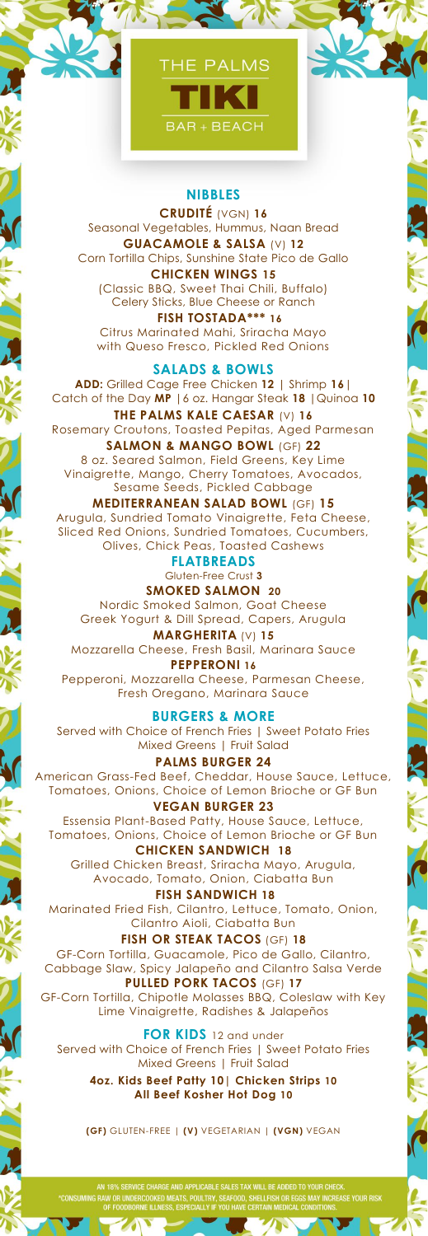

## **NIBBLES**

**CRUDITÉ** (VGN) **16** Seasonal Vegetables, Hummus, Naan Bread **GUACAMOLE & SALSA** (V) **12** Corn Tortilla Chips, Sunshine State Pico de Gallo **CHICKEN WINGS 15**

(Classic BBQ, Sweet Thai Chili, Buffalo) Celery Sticks, Blue Cheese or Ranch

 **FISH TOSTADA\*\*\* 16** Citrus Marinated Mahi, Sriracha Mayo with Queso Fresco, Pickled Red Onions

**SALADS & BOWLS ADD:** Grilled Cage Free Chicken **12** | Shrimp **16**| Catch of the Day **MP** |6 oz. Hangar Steak **18** |Quinoa **10**

**THE PALMS KALE CAESAR** (V) **16** Rosemary Croutons, Toasted Pepitas, Aged Parmesan **SALMON & MANGO BOWL** (GF) **22** 8 oz. Seared Salmon, Field Greens, Key Lime Vinaigrette, Mango, Cherry Tomatoes, Avocados,

Sesame Seeds, Pickled Cabbage **MEDITERRANEAN SALAD BOWL** (GF) **15**

Arugula, Sundried Tomato Vinaigrette, Feta Cheese, Sliced Red Onions, Sundried Tomatoes, Cucumbers, Olives, Chick Peas, Toasted Cashews

**FLATBREADS**  Gluten-Free Crust **3**

**SMOKED SALMON 20** Nordic Smoked Salmon, Goat Cheese Greek Yogurt & Dill Spread, Capers, Arugula

**MARGHERITA** (V) **15** Mozzarella Cheese, Fresh Basil, Marinara Sauce **PEPPERONI 16**

Pepperoni, Mozzarella Cheese, Parmesan Cheese, Fresh Oregano, Marinara Sauce

**BURGERS & MORE** Served with Choice of French Fries | Sweet Potato Fries Mixed Greens | Fruit Salad

**PALMS BURGER 24** American Grass-Fed Beef, Cheddar, House Sauce, Lettuce, Tomatoes, Onions, Choice of Lemon Brioche or GF Bun **VEGAN BURGER 23**

Essensia Plant-Based Patty, House Sauce, Lettuce, Tomatoes, Onions, Choice of Lemon Brioche or GF Bun **CHICKEN SANDWICH 18**

Grilled Chicken Breast, Sriracha Mayo, Arugula, Avocado, Tomato, Onion, Ciabatta Bun

**FISH SANDWICH 18** Marinated Fried Fish, Cilantro, Lettuce, Tomato, Onion, Cilantro Aioli, Ciabatta Bun

**FISH OR STEAK TACOS** (GF) **18** GF-Corn Tortilla, Guacamole, Pico de Gallo, Cilantro, Cabbage Slaw, Spicy Jalapeño and Cilantro Salsa Verde **PULLED PORK TACOS** (GF) **17** GF-Corn Tortilla, Chipotle Molasses BBQ, Coleslaw with Key

Lime Vinaigrette, Radishes & Jalapeños

**FOR KIDS** 12 and under Served with Choice of French Fries | Sweet Potato Fries Mixed Greens | Fruit Salad

 $\overline{\mathbf{S}}$ 

**4oz. Kids Beef Patty 10| Chicken Strips 10 All Beef Kosher Hot Dog 10**

**(GF)** GLUTEN-FREE | **(V)** VEGETARIAN | **(VGN)** VEGAN